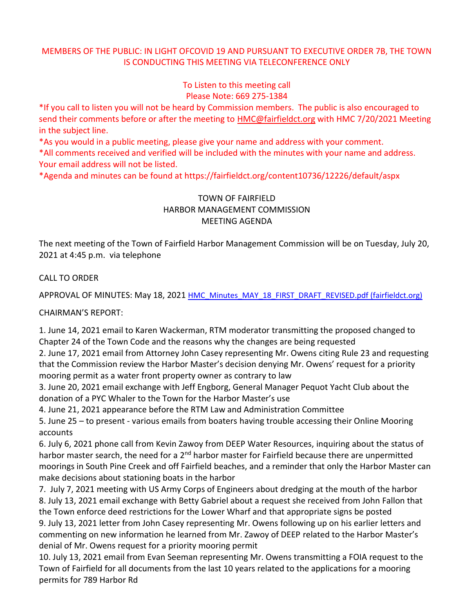## MEMBERS OF THE PUBLIC: IN LIGHT OFCOVID 19 AND PURSUANT TO EXECUTIVE ORDER 7B, THE TOWN IS CONDUCTING THIS MEETING VIA TELECONFERENCE ONLY

To Listen to this meeting call Please Note: 669 275-1384

\*If you call to listen you will not be heard by Commission members. The public is also encouraged to send their comments before or after the meeting to [HMC@fairfieldct.org](mailto:HMC@fairfieldct.org) with HMC 7/20/2021 Meeting in the subject line.

\*As you would in a public meeting, please give your name and address with your comment.

\*All comments received and verified will be included with the minutes with your name and address. Your email address will not be listed.

\*Agenda and minutes can be found at https://fairfieldct.org/content10736/12226/default/aspx

## TOWN OF FAIRFIELD HARBOR MANAGEMENT COMMISSION MEETING AGENDA

The next meeting of the Town of Fairfield Harbor Management Commission will be on Tuesday, July 20, 2021 at 4:45 p.m. via telephone

CALL TO ORDER

APPROVAL OF MINUTES: May 18, 2021 [HMC\\_Minutes\\_MAY\\_18\\_FIRST\\_DRAFT\\_REVISED.pdf \(fairfieldct.org\)](https://www.fairfieldct.org/filestorage/10736/12067/17037/66861/94822/109405/HMC_Minutes_MAY_18_FIRST_DRAFT_REVISED.pdf)

CHAIRMAN'S REPORT:

1. June 14, 2021 email to Karen Wackerman, RTM moderator transmitting the proposed changed to Chapter 24 of the Town Code and the reasons why the changes are being requested

2. June 17, 2021 email from Attorney John Casey representing Mr. Owens citing Rule 23 and requesting that the Commission review the Harbor Master's decision denying Mr. Owens' request for a priority mooring permit as a water front property owner as contrary to law

3. June 20, 2021 email exchange with Jeff Engborg, General Manager Pequot Yacht Club about the donation of a PYC Whaler to the Town for the Harbor Master's use

4. June 21, 2021 appearance before the RTM Law and Administration Committee

5. June 25 – to present - various emails from boaters having trouble accessing their Online Mooring accounts

6. July 6, 2021 phone call from Kevin Zawoy from DEEP Water Resources, inquiring about the status of harbor master search, the need for a 2<sup>nd</sup> harbor master for Fairfield because there are unpermitted moorings in South Pine Creek and off Fairfield beaches, and a reminder that only the Harbor Master can make decisions about stationing boats in the harbor

7. July 7, 2021 meeting with US Army Corps of Engineers about dredging at the mouth of the harbor 8. July 13, 2021 email exchange with Betty Gabriel about a request she received from John Fallon that the Town enforce deed restrictions for the Lower Wharf and that appropriate signs be posted 9. July 13, 2021 letter from John Casey representing Mr. Owens following up on his earlier letters and commenting on new information he learned from Mr. Zawoy of DEEP related to the Harbor Master's denial of Mr. Owens request for a priority mooring permit

10. July 13, 2021 email from Evan Seeman representing Mr. Owens transmitting a FOIA request to the Town of Fairfield for all documents from the last 10 years related to the applications for a mooring permits for 789 Harbor Rd